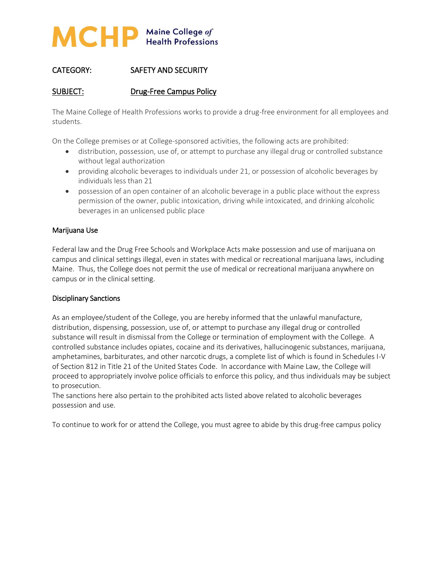

# CATEGORY: SAFETY AND SECURITY

### SUBJECT: Drug-Free Campus Policy

The Maine College of Health Professions works to provide a drug-free environment for all employees and students.

On the College premises or at College-sponsored activities, the following acts are prohibited:

- distribution, possession, use of, or attempt to purchase any illegal drug or controlled substance without legal authorization
- providing alcoholic beverages to individuals under 21, or possession of alcoholic beverages by individuals less than 21
- possession of an open container of an alcoholic beverage in a public place without the express permission of the owner, public intoxication, driving while intoxicated, and drinking alcoholic beverages in an unlicensed public place

#### Marijuana Use

Federal law and the Drug Free Schools and Workplace Acts make possession and use of marijuana on campus and clinical settings illegal, even in states with medical or recreational marijuana laws, including Maine. Thus, the College does not permit the use of medical or recreational marijuana anywhere on campus or in the clinical setting.

#### Disciplinary Sanctions

As an employee/student of the College, you are hereby informed that the unlawful manufacture, distribution, dispensing, possession, use of, or attempt to purchase any illegal drug or controlled substance will result in dismissal from the College or termination of employment with the College. A controlled substance includes opiates, cocaine and its derivatives, hallucinogenic substances, marijuana, amphetamines, barbiturates, and other narcotic drugs, a complete list of which is found in Schedules I-V of Section 812 in Title 21 of the United States Code. In accordance with Maine Law, the College will proceed to appropriately involve police officials to enforce this policy, and thus individuals may be subject to prosecution.

The sanctions here also pertain to the prohibited acts listed above related to alcoholic beverages possession and use.

To continue to work for or attend the College, you must agree to abide by this drug-free campus policy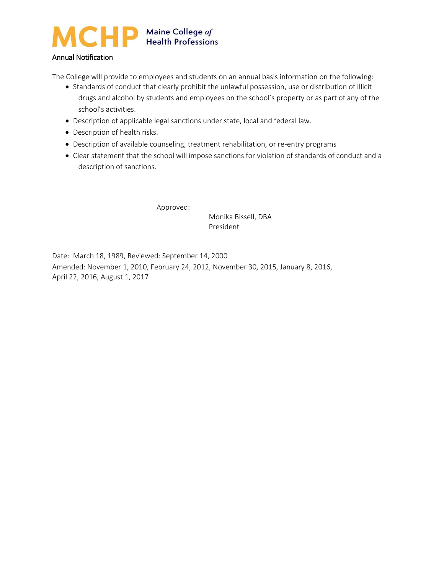

### Annual Notification

The College will provide to employees and students on an annual basis information on the following:

- Standards of conduct that clearly prohibit the unlawful possession, use or distribution of illicit drugs and alcohol by students and employees on the school's property or as part of any of the school's activities.
- Description of applicable legal sanctions under state, local and federal law.
- Description of health risks.
- Description of available counseling, treatment rehabilitation, or re-entry programs
- Clear statement that the school will impose sanctions for violation of standards of conduct and a description of sanctions.

Approved:

Monika Bissell, DBA President

Date: March 18, 1989, Reviewed: September 14, 2000 Amended: November 1, 2010, February 24, 2012, November 30, 2015, January 8, 2016, April 22, 2016, August 1, 2017